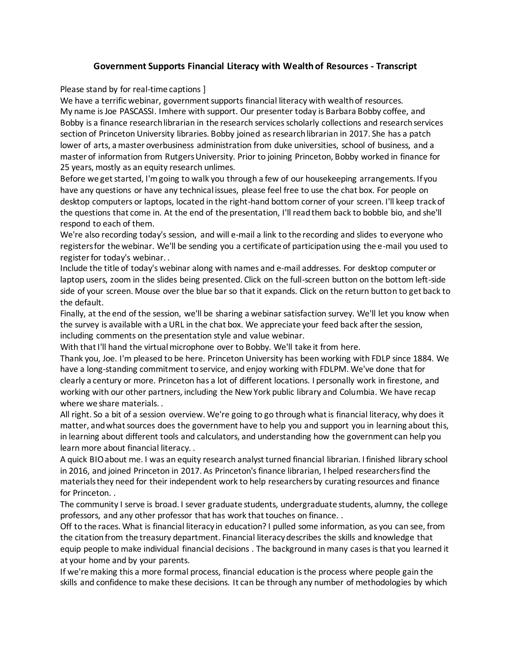## **Government Supports Financial Literacy with Wealth of Resources - Transcript**

Please stand by for real-time captions ]

We have a terrific webinar, government supports financial literacy with wealth of resources. My name is Joe PASCASSI. Imhere with support. Our presenter today is Barbara Bobby coffee, and Bobby is a finance research librarian in the research services scholarly collections and research services section of Princeton University libraries. Bobby joined as research librarian in 2017. She has a patch lower of arts, a master overbusiness administration from duke universities, school of business, and a master of information from Rutgers University. Prior to joining Princeton, Bobby worked in finance for 25 years, mostly as an equity research unlimes.

Before we get started, I'm going to walk you through a few of our housekeeping arrangements. If you have any questions or have any technical issues, please feel free to use the chat box. For people on desktop computers or laptops, located in the right-hand bottom corner of your screen. I'll keep track of the questions that come in. At the end of the presentation, I'll read them back to bobble bio, and she'll respond to each of them.

We're also recording today's session, and will e-mail a link to the recording and slides to everyone who registers for the webinar. We'll be sending you a certificate of participation using the e-mail you used to register for today's webinar. .

Include the title of today's webinar along with names and e-mail addresses. For desktop computer or laptop users, zoom in the slides being presented. Click on the full-screen button on the bottom left-side side of your screen. Mouse over the blue bar so that it expands. Click on the return button to get back to the default.

Finally, at the end of the session, we'll be sharing a webinar satisfaction survey. We'll let you know when the survey is available with a URL in the chat box. We appreciate your feed back after the session, including comments on the presentation style and value webinar.

With that I'll hand the virtual microphone over to Bobby. We'll take it from here.

Thank you, Joe. I'm pleased to be here. Princeton University has been working with FDLP since 1884. We have a long-standing commitment to service, and enjoy working with FDLPM. We've done that for clearly a century or more. Princeton has a lot of different locations. I personally work in firestone, and working with our other partners, including the New York public library and Columbia. We have recap where we share materials. .

All right. So a bit of a session overview. We're going to go through what is financial literacy, why does it matter, and what sources does the government have to help you and support you in learning about this, in learning about different tools and calculators, and understanding how the government can help you learn more about financial literacy. .

A quick BIO about me. I was an equity research analyst turned financial librarian. I finished library school in 2016, and joined Princeton in 2017. As Princeton's finance librarian, I helped researchers find the materials they need for their independent work to help researchers by curating resources and finance for Princeton. .

The community I serve is broad. I sever graduate students, undergraduate students, alumny, the college professors, and any other professor that has work that touches on finance. .

Off to the races. What is financial literacy in education? I pulled some information, as you can see, from the citation from the treasury department. Financial literacy describes the skills and knowledge that equip people to make individual financial decisions . The background in many cases is that you learned it at your home and by your parents.

If we're making this a more formal process, financial education is the process where people gain the skills and confidence to make these decisions. It can be through any number of methodologies by which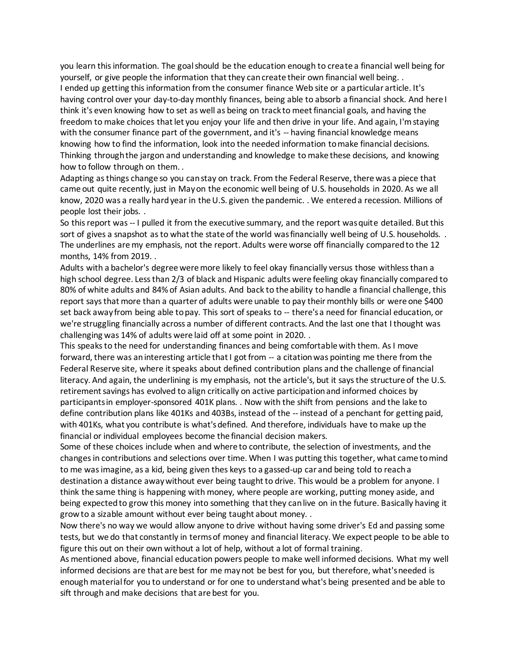you learn this information. The goal should be the education enough to create a financial well being for yourself, or give people the information that they can create their own financial well being. . I ended up getting this information from the consumer finance Web site or a particular article. It's having control over your day-to-day monthly finances, being able to absorb a financial shock. And here I think it's even knowing how to set as well as being on track to meet financial goals, and having the freedom to make choices that let you enjoy your life and then drive in your life. And again, I'm staying with the consumer finance part of the government, and it's -- having financial knowledge means knowing how to find the information, look into the needed information to make financial decisions. Thinking through the jargon and understanding and knowledge to make these decisions, and knowing how to follow through on them. .

Adapting as things change so you can stay on track. From the Federal Reserve, there was a piece that came out quite recently, just in May on the economic well being of U.S. households in 2020. As we all know, 2020 was a really hard year in the U.S. given the pandemic. . We entered a recession. Millions of people lost their jobs. .

So this report was -- I pulled it from the executive summary, and the report was quite detailed. But this sort of gives a snapshot as to what the state of the world was financially well being of U.S. households. . The underlines are my emphasis, not the report. Adults were worse off financially compared to the 12 months, 14% from 2019. .

Adults with a bachelor's degree were more likely to feel okay financially versus those withless than a high school degree. Less than 2/3 of black and Hispanic adults were feeling okay financially compared to 80% of white adults and 84% of Asian adults. And back to the ability to handle a financial challenge, this report says that more than a quarter of adults were unable to pay their monthly bills or were one \$400 set back away from being able to pay. This sort of speaks to -- there's a need for financial education, or we're struggling financially across a number of different contracts. And the last one that I thought was challenging was 14% of adults were laid off at some point in 2020. .

This speaks to the need for understanding finances and being comfortable with them. As I move forward, there was an interesting article that I got from -- a citation was pointing me there from the Federal Reserve site, where it speaks about defined contribution plans and the challenge of financial literacy. And again, the underlining is my emphasis, not the article's, but it says the structure of the U.S. retirement savings has evolved to align critically on active participation and informed choices by participants in employer-sponsored 401K plans. . Now with the shift from pensions and the lake to define contribution plans like 401Ks and 403Bs, instead of the -- instead of a penchant for getting paid, with 401Ks, what you contribute is what's defined. And therefore, individuals have to make up the financial or individual employees become the financial decision makers.

Some of these choices include when and where to contribute, the selection of investments, and the changes in contributions and selections over time. When I was putting this together, what came to mind to me was imagine, as a kid, being given thes keys to a gassed-up car and being told to reach a destination a distance away without ever being taught to drive. This would be a problem for anyone. I think the same thing is happening with money, where people are working, putting money aside, and being expected to grow this money into something that they can live on in the future. Basically having it grow to a sizable amount without ever being taught about money. .

Now there's no way we would allow anyone to drive without having some driver's Ed and passing some tests, but we do that constantly in terms of money and financial literacy. We expect people to be able to figure this out on their own without a lot of help, without a lot of formal training.

As mentioned above, financial education powers people to make well informed decisions. What my well informed decisions are that are best for me may not be best for you, but therefore, what's needed is enough material for you to understand or for one to understand what's being presented and be able to sift through and make decisions that are best for you.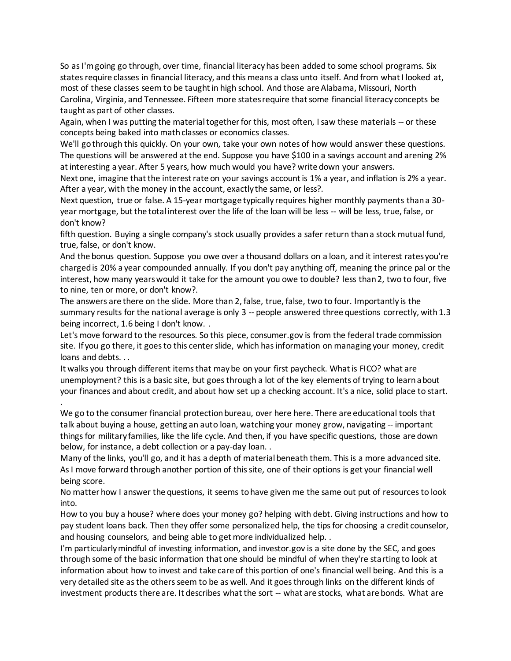So as I'm going go through, over time, financial literacy has been added to some school programs. Six states require classes in financial literacy, and this means a class unto itself. And from what I looked at, most of these classes seem to be taught in high school. And those are Alabama, Missouri, North Carolina, Virginia, and Tennessee. Fifteen more states require that some financial literacy concepts be taught as part of other classes.

Again, when I was putting the material together for this, most often, I saw these materials -- or these concepts being baked into math classes or economics classes.

We'll go through this quickly. On your own, take your own notes of how would answer these questions. The questions will be answered at the end. Suppose you have \$100 in a savings account and arening 2% at interesting a year. After 5 years, how much would you have? write down your answers.

Next one, imagine that the interest rate on your savings account is 1% a year, and inflation is 2% a year. After a year, with the money in the account, exactly the same, or less?.

Next question, true or false. A 15-year mortgage typically requires higher monthly payments than a 30 year mortgage, but the total interest over the life of the loan will be less -- will be less, true, false, or don't know?

fifth question. Buying a single company's stock usually provides a safer return than a stock mutual fund, true, false, or don't know.

And the bonus question. Suppose you owe over a thousand dollars on a loan, and it interest rates you're charged is 20% a year compounded annually. If you don't pay anything off, meaning the prince pal or the interest, how many years would it take for the amount you owe to double? less than 2, two to four, five to nine, ten or more, or don't know?.

The answers are there on the slide. More than 2, false, true, false, two to four. Importantly is the summary results for the national average is only 3 -- people answered three questions correctly, with 1.3 being incorrect, 1.6 being I don't know. .

Let's move forward to the resources. So this piece, consumer.gov is from the federal trade commission site. If you go there, it goes to this center slide, which has information on managing your money, credit loans and debts. . .

It walks you through different items that may be on your first paycheck. What is FICO? what are unemployment? this is a basic site, but goes through a lot of the key elements of trying to learn about your finances and about credit, and about how set up a checking account. It's a nice, solid place to start. .

We go to the consumer financial protection bureau, over here here. There are educational tools that talk about buying a house, getting an auto loan, watching your money grow, navigating -- important things for military families, like the life cycle. And then, if you have specific questions, those are down below, for instance, a debt collection or a pay-day loan. .

Many of the links, you'll go, and it has a depth of material beneath them. This is a more advanced site. As I move forward through another portion of this site, one of their options is get your financial well being score.

No matter how I answer the questions, it seems to have given me the same out put of resources to look into.

How to you buy a house? where does your money go? helping with debt. Giving instructions and how to pay student loans back. Then they offer some personalized help, the tips for choosing a credit counselor, and housing counselors, and being able to get more individualized help. .

I'm particularly mindful of investing information, and investor.gov is a site done by the SEC, and goes through some of the basic information that one should be mindful of when they're starting to look at information about how to invest and take care of this portion of one's financial well being. And this is a very detailed site as the others seem to be as well. And it goes through links on the different kinds of investment products there are. It describes what the sort -- what are stocks, what are bonds. What are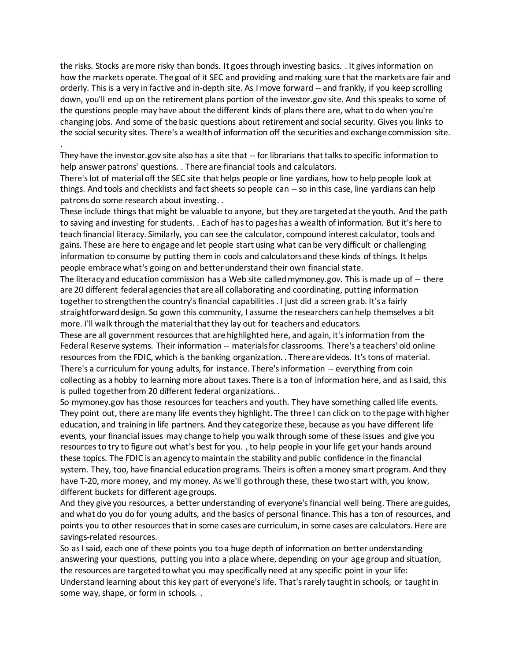the risks. Stocks are more risky than bonds. It goes through investing basics. . It gives information on how the markets operate. The goal of it SEC and providing and making sure that the markets are fair and orderly. This is a very in factive and in-depth site. As I move forward -- and frankly, if you keep scrolling down, you'll end up on the retirement plans portion of the investor.gov site. And this speaks to some of the questions people may have about the different kinds of plans there are, what to do when you're changing jobs. And some of the basic questions about retirement and social security. Gives you links to the social security sites. There's a wealth of information off the securities and exchange commission site. .

They have the investor.gov site also has a site that -- for librarians that talks to specific information to help answer patrons' questions. . There are financial tools and calculators.

There's lot of material off the SEC site that helps people or line yardians, how to help people look at things. And tools and checklists and fact sheets so people can -- so in this case, line yardians can help patrons do some research about investing. .

These include things that might be valuable to anyone, but they are targeted at the youth. And the path to saving and investing for students. . Each of has to pages has a wealth of information. But it's here to teach financial literacy. Similarly, you can see the calculator, compound interest calculator, tools and gains. These are here to engage and let people start using what can be very difficult or challenging information to consume by putting them in cools and calculators and these kinds of things. It helps people embrace what's going on and better understand their own financial state.

The literacy and education commission has a Web site called mymoney.gov. This is made up of -- there are 20 different federal agencies that are all collaborating and coordinating, putting information together to strengthen the country's financial capabilities . I just did a screen grab. It's a fairly straightforward design. So gown this community, I assume the researchers can help themselves a bit more. I'll walk through the material that they lay out for teachers and educators.

These are all government resources that are highlighted here, and again, it's information from the Federal Reserve systems. Their information -- materials for classrooms. There's a teachers' old online resources from the FDIC, which is the banking organization. . There are videos. It's tons of material. There's a curriculum for young adults, for instance. There's information -- everything from coin collecting as a hobby to learning more about taxes. There is a ton of information here, and as I said, this is pulled together from 20 different federal organizations. .

So mymoney.gov has those resources for teachers and youth. They have something called life events. They point out, there are many life events they highlight. The three I can click on to the page with higher education, and training in life partners. And they categorize these, because as you have different life events, your financial issues may change to help you walk through some of these issues and give you resources to try to figure out what's best for you. , to help people in your life get your hands around these topics. The FDIC is an agency to maintain the stability and public confidence in the financial system. They, too, have financial education programs. Theirs is often a money smart program. And they have T-20, more money, and my money. As we'll go through these, these two start with, you know, different buckets for different age groups.

And they give you resources, a better understanding of everyone's financial well being. There are guides, and what do you do for young adults, and the basics of personal finance. This has a ton of resources, and points you to other resources that in some cases are curriculum, in some cases are calculators. Here are savings-related resources.

So as I said, each one of these points you to a huge depth of information on better understanding answering your questions, putting you into a place where, depending on your age group and situation, the resources are targeted to what you may specifically need at any specific point in your life: Understand learning about this key part of everyone's life. That's rarely taught in schools, or taught in some way, shape, or form in schools. .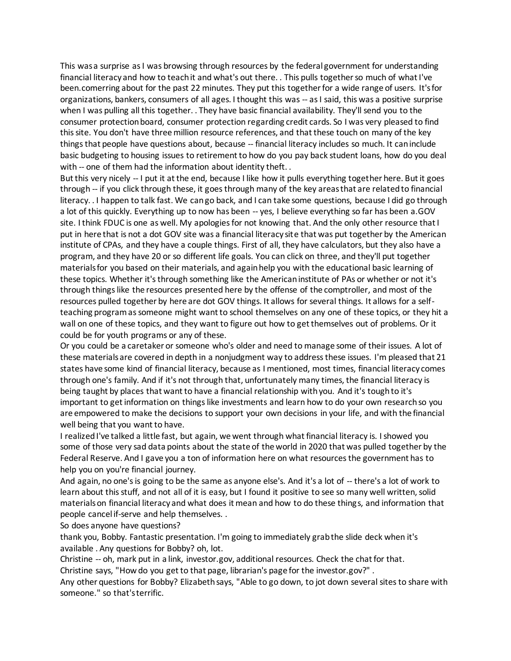This was a surprise as I was browsing through resources by the federal government for understanding financial literacy and how to teach it and what's out there. . This pulls together so much of what I've been.comerring about for the past 22 minutes. They put this together for a wide range of users. It's for organizations, bankers, consumers of all ages. I thought this was -- as I said, this was a positive surprise when I was pulling all this together. . They have basic financial availability. They'll send you to the consumer protection board, consumer protection regarding credit cards. So I was very pleased to find this site. You don't have three million resource references, and that these touch on many of the key things that people have questions about, because -- financial literacy includes so much. It can include basic budgeting to housing issues to retirement to how do you pay back student loans, how do you deal with -- one of them had the information about identity theft...

But this very nicely -- I put it at the end, because I like how it pulls everything together here. But it goes through -- if you click through these, it goes through many of the key areas that are related to financial literacy. . I happen to talk fast. We can go back, and I can take some questions, because I did go through a lot of this quickly. Everything up to now has been -- yes, I believe everything so far has been a.GOV site. I think FDUC is one as well. My apologies for not knowing that. And the only other resource that I put in here that is not a dot GOV site was a financial literacy site that was put together by the American institute of CPAs, and they have a couple things. First of all, they have calculators, but they also have a program, and they have 20 or so different life goals. You can click on three, and they'll put together materials for you based on their materials, and again help you with the educational basic learning of these topics. Whether it's through something like the American institute of PAs or whether or not it's through things like the resources presented here by the offense of the comptroller, and most of the resources pulled together by here are dot GOV things. It allows for several things. It allows for a selfteaching program as someone might want to school themselves on any one of these topics, or they hit a wall on one of these topics, and they want to figure out how to get themselves out of problems. Or it could be for youth programs or any of these.

Or you could be a caretaker or someone who's older and need to manage some of their issues. A lot of these materials are covered in depth in a nonjudgment way to address these issues. I'm pleased that 21 states have some kind of financial literacy, because as I mentioned, most times, financial literacy comes through one's family. And if it's not through that, unfortunately many times, the financial literacy is being taught by places that want to have a financial relationship with you. And it's tough to it's important to get information on things like investments and learn how to do your own research so you are empowered to make the decisions to support your own decisions in your life, and with the financial well being that you want to have.

I realized I've talked a little fast, but again, we went through what financial literacy is. I showed you some of those very sad data points about the state of the world in 2020 that was pulled together by the Federal Reserve. And I gave you a ton of information here on what resources the government has to help you on you're financial journey.

And again, no one's is going to be the same as anyone else's. And it's a lot of -- there's a lot of work to learn about this stuff, and not all of it is easy, but I found it positive to see so many well written, solid materials on financial literacy and what does it mean and how to do these things, and information that people cancel if-serve and help themselves. .

So does anyone have questions?

thank you, Bobby. Fantastic presentation. I'm going to immediately grab the slide deck when it's available . Any questions for Bobby? oh, lot.

Christine -- oh, mark put in a link, investor.gov, additional resources. Check the chat for that.

Christine says, "How do you get to that page, librarian's page for the investor.gov?" .

Any other questions for Bobby? Elizabeth says, "Able to go down, to jot down several sites to share with someone." so that's terrific.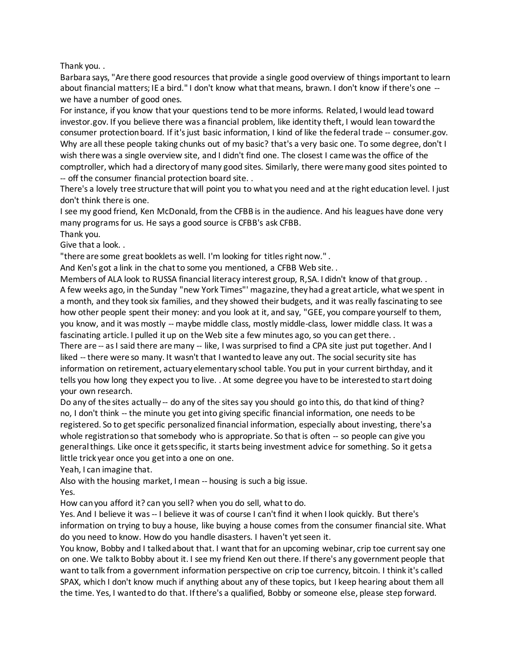Thank you. .

Barbara says, "Are there good resources that provide a single good overview of things important to learn about financial matters; IE a bird." I don't know what that means, brawn. I don't know if there's one - we have a number of good ones.

For instance, if you know that your questions tend to be more informs. Related, I would lead toward investor.gov. If you believe there was a financial problem, like identity theft, I would lean toward the consumer protection board. If it's just basic information, I kind of like the federal trade -- consumer.gov. Why are all these people taking chunks out of my basic? that's a very basic one. To some degree, don't I wish there was a single overview site, and I didn't find one. The closest I came was the office of the comptroller, which had a directory of many good sites. Similarly, there were many good sites pointed to -- off the consumer financial protection board site. .

There's a lovely tree structure that will point you to what you need and at the right education level. I just don't think there is one.

I see my good friend, Ken McDonald, from the CFBB is in the audience. And his leagues have done very many programs for us. He says a good source is CFBB's ask CFBB.

Thank you.

Give that a look. .

"there are some great booklets as well. I'm looking for titles right now." .

And Ken's got a link in the chat to some you mentioned, a CFBB Web site. .

Members of ALA look to RUSSA financial literacy interest group, R,SA. I didn't know of that group. . A few weeks ago, in the Sunday "new York Times"' magazine, they had a great article, what we spent in a month, and they took six families, and they showed their budgets, and it was really fascinating to see how other people spent their money: and you look at it, and say, "GEE, you compare yourself to them, you know, and it was mostly -- maybe middle class, mostly middle-class, lower middle class. It was a fascinating article. I pulled it up on the Web site a few minutes ago, so you can get there. .

There are -- as I said there are many -- like, I was surprised to find a CPA site just put together. And I liked -- there were so many. It wasn't that I wanted to leave any out. The social security site has information on retirement, actuary elementary school table. You put in your current birthday, and it tells you how long they expect you to live. . At some degree you have to be interested to start doing your own research.

Do any of the sites actually -- do any of the sites say you should go into this, do that kind of thing? no, I don't think -- the minute you get into giving specific financial information, one needs to be registered. So to get specific personalized financial information, especially about investing, there's a whole registration so that somebody who is appropriate. So that is often -- so people can give you general things. Like once it gets specific, it starts being investment advice for something. So it gets a little trick year once you get into a one on one.

Yeah, I can imagine that.

Also with the housing market, I mean -- housing is such a big issue.

Yes.

How can you afford it? can you sell? when you do sell, what to do.

Yes. And I believe it was -- I believe it was of course I can't find it when I look quickly. But there's information on trying to buy a house, like buying a house comes from the consumer financial site. What do you need to know. How do you handle disasters. I haven't yet seen it.

You know, Bobby and I talked about that. I want that for an upcoming webinar, crip toe current say one on one. We talk to Bobby about it. I see my friend Ken out there. If there's any government people that want to talk from a government information perspective on crip toe currency, bitcoin. I think it's called SPAX, which I don't know much if anything about any of these topics, but I keep hearing about them all the time. Yes, I wanted to do that. If there's a qualified, Bobby or someone else, please step forward.